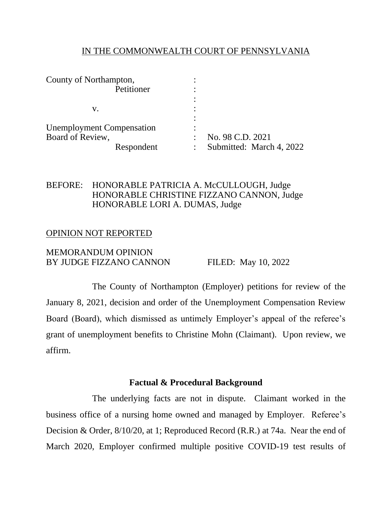### IN THE COMMONWEALTH COURT OF PENNSYLVANIA

| County of Northampton,           |                          |
|----------------------------------|--------------------------|
| Petitioner                       |                          |
|                                  |                          |
| V.                               |                          |
|                                  |                          |
| <b>Unemployment Compensation</b> |                          |
| Board of Review,                 | No. 98 C.D. 2021         |
| Respondent                       | Submitted: March 4, 2022 |

## BEFORE: HONORABLE PATRICIA A. McCULLOUGH, Judge HONORABLE CHRISTINE FIZZANO CANNON, Judge HONORABLE LORI A. DUMAS, Judge

### OPINION NOT REPORTED

### MEMORANDUM OPINION BY JUDGE FIZZANO CANNON FILED: May 10, 2022

The County of Northampton (Employer) petitions for review of the January 8, 2021, decision and order of the Unemployment Compensation Review Board (Board), which dismissed as untimely Employer's appeal of the referee's grant of unemployment benefits to Christine Mohn (Claimant). Upon review, we affirm.

# **Factual & Procedural Background**

The underlying facts are not in dispute. Claimant worked in the business office of a nursing home owned and managed by Employer. Referee's Decision & Order, 8/10/20, at 1; Reproduced Record (R.R.) at 74a. Near the end of March 2020, Employer confirmed multiple positive COVID-19 test results of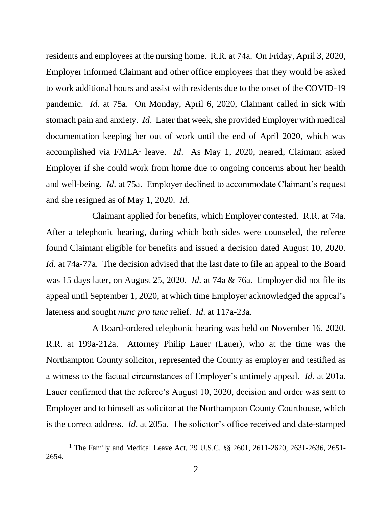residents and employees at the nursing home. R.R. at 74a. On Friday, April 3, 2020, Employer informed Claimant and other office employees that they would be asked to work additional hours and assist with residents due to the onset of the COVID-19 pandemic. *Id*. at 75a. On Monday, April 6, 2020, Claimant called in sick with stomach pain and anxiety. *Id*. Later that week, she provided Employer with medical documentation keeping her out of work until the end of April 2020, which was accomplished via FMLA<sup>1</sup> leave. *Id*. As May 1, 2020, neared, Claimant asked Employer if she could work from home due to ongoing concerns about her health and well-being. *Id*. at 75a. Employer declined to accommodate Claimant's request and she resigned as of May 1, 2020. *Id*.

Claimant applied for benefits, which Employer contested. R.R. at 74a. After a telephonic hearing, during which both sides were counseled, the referee found Claimant eligible for benefits and issued a decision dated August 10, 2020. *Id*. at 74a-77a. The decision advised that the last date to file an appeal to the Board was 15 days later, on August 25, 2020. *Id*. at 74a & 76a. Employer did not file its appeal until September 1, 2020, at which time Employer acknowledged the appeal's lateness and sought *nunc pro tunc* relief. *Id*. at 117a-23a.

A Board-ordered telephonic hearing was held on November 16, 2020. R.R. at 199a-212a. Attorney Philip Lauer (Lauer), who at the time was the Northampton County solicitor, represented the County as employer and testified as a witness to the factual circumstances of Employer's untimely appeal. *Id*. at 201a. Lauer confirmed that the referee's August 10, 2020, decision and order was sent to Employer and to himself as solicitor at the Northampton County Courthouse, which is the correct address. *Id*. at 205a. The solicitor's office received and date-stamped

<sup>&</sup>lt;sup>1</sup> The Family and Medical Leave Act, 29 U.S.C. §§ 2601, 2611-2620, 2631-2636, 2651-2654.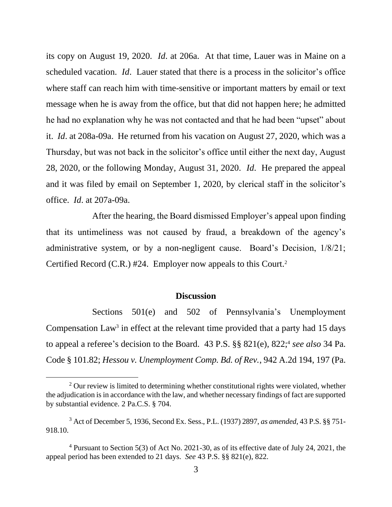its copy on August 19, 2020. *Id*. at 206a. At that time, Lauer was in Maine on a scheduled vacation. *Id*. Lauer stated that there is a process in the solicitor's office where staff can reach him with time-sensitive or important matters by email or text message when he is away from the office, but that did not happen here; he admitted he had no explanation why he was not contacted and that he had been "upset" about it. *Id*. at 208a-09a. He returned from his vacation on August 27, 2020, which was a Thursday, but was not back in the solicitor's office until either the next day, August 28, 2020, or the following Monday, August 31, 2020. *Id*. He prepared the appeal and it was filed by email on September 1, 2020, by clerical staff in the solicitor's office. *Id*. at 207a-09a.

After the hearing, the Board dismissed Employer's appeal upon finding that its untimeliness was not caused by fraud, a breakdown of the agency's administrative system, or by a non-negligent cause. Board's Decision, 1/8/21; Certified Record (C.R.) #24. Employer now appeals to this Court.<sup>2</sup>

#### **Discussion**

Sections 501(e) and 502 of Pennsylvania's Unemployment Compensation  $Law<sup>3</sup>$  in effect at the relevant time provided that a party had 15 days to appeal a referee's decision to the Board. 43 P.S. §§ 821(e), 822; 4 *see also* 34 Pa. Code § 101.82; *Hessou v. Unemployment Comp. Bd. of Rev.*, 942 A.2d 194, 197 (Pa.

 $2$  Our review is limited to determining whether constitutional rights were violated, whether the adjudication is in accordance with the law, and whether necessary findings of fact are supported by substantial evidence. 2 Pa.C.S. § 704.

<sup>3</sup> Act of December 5, 1936, Second Ex. Sess., P.L. (1937) 2897, *as amended*, 43 P.S. §§ 751- 918.10.

<sup>4</sup> Pursuant to Section 5(3) of Act No. 2021-30, as of its effective date of July 24, 2021, the appeal period has been extended to 21 days. *See* 43 P.S. §§ 821(e), 822.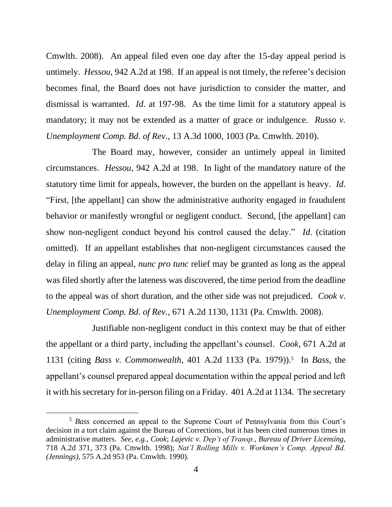Cmwlth. 2008). An appeal filed even one day after the 15-day appeal period is untimely. *Hessou*, 942 A.2d at 198. If an appeal is not timely, the referee's decision becomes final, the Board does not have jurisdiction to consider the matter, and dismissal is warranted. *Id*. at 197-98. As the time limit for a statutory appeal is mandatory; it may not be extended as a matter of grace or indulgence. *Russo v. Unemployment Comp. Bd. of Rev.*, 13 A.3d 1000, 1003 (Pa. Cmwlth. 2010).

The Board may, however, consider an untimely appeal in limited circumstances. *Hessou*, 942 A.2d at 198. In light of the mandatory nature of the statutory time limit for appeals, however, the burden on the appellant is heavy. *Id*. "First, [the appellant] can show the administrative authority engaged in fraudulent behavior or manifestly wrongful or negligent conduct. Second, [the appellant] can show non-negligent conduct beyond his control caused the delay." *Id*. (citation omitted). If an appellant establishes that non-negligent circumstances caused the delay in filing an appeal, *nunc pro tunc* relief may be granted as long as the appeal was filed shortly after the lateness was discovered, the time period from the deadline to the appeal was of short duration, and the other side was not prejudiced. *Cook v. Unemployment Comp. Bd. of Rev.*, 671 A.2d 1130, 1131 (Pa. Cmwlth. 2008).

Justifiable non-negligent conduct in this context may be that of either the appellant or a third party, including the appellant's counsel. *Cook*, 671 A.2d at 1131 (citing *Bass v. Commonwealth*, 401 A.2d 1133 (Pa. 1979)). 5 In *Bass*, the appellant's counsel prepared appeal documentation within the appeal period and left it with his secretary for in-person filing on a Friday. 401 A.2d at 1134. The secretary

<sup>5</sup> *Bass* concerned an appeal to the Supreme Court of Pennsylvania from this Court's decision in a tort claim against the Bureau of Corrections, but it has been cited numerous times in administrative matters. *See, e.g.*, *Cook*; *Lajevic v. Dep't of Transp., Bureau of Driver Licensing*, 718 A.2d 371, 373 (Pa. Cmwlth. 1998); *Nat'l Rolling Mills v. Workmen's Comp. Appeal Bd. (Jennings)*, 575 A.2d 953 (Pa. Cmwlth. 1990).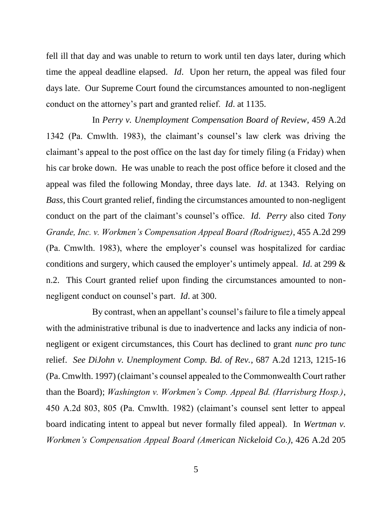fell ill that day and was unable to return to work until ten days later, during which time the appeal deadline elapsed. *Id*. Upon her return, the appeal was filed four days late. Our Supreme Court found the circumstances amounted to non-negligent conduct on the attorney's part and granted relief. *Id*. at 1135.

In *Perry v. Unemployment Compensation Board of Review*, 459 A.2d 1342 (Pa. Cmwlth. 1983), the claimant's counsel's law clerk was driving the claimant's appeal to the post office on the last day for timely filing (a Friday) when his car broke down. He was unable to reach the post office before it closed and the appeal was filed the following Monday, three days late. *Id*. at 1343. Relying on *Bass*, this Court granted relief, finding the circumstances amounted to non-negligent conduct on the part of the claimant's counsel's office. *Id*. *Perry* also cited *Tony Grande, Inc. v. Workmen's Compensation Appeal Board (Rodriguez)*, 455 A.2d 299 (Pa. Cmwlth. 1983), where the employer's counsel was hospitalized for cardiac conditions and surgery, which caused the employer's untimely appeal. *Id*. at 299 & n.2. This Court granted relief upon finding the circumstances amounted to nonnegligent conduct on counsel's part. *Id*. at 300.

By contrast, when an appellant's counsel's failure to file a timely appeal with the administrative tribunal is due to inadvertence and lacks any indicia of nonnegligent or exigent circumstances, this Court has declined to grant *nunc pro tunc* relief. *See DiJohn v. Unemployment Comp. Bd. of Rev.*, 687 A.2d 1213, 1215-16 (Pa. Cmwlth. 1997) (claimant's counsel appealed to the Commonwealth Court rather than the Board); *Washington v. Workmen's Comp. Appeal Bd. (Harrisburg Hosp.)*, 450 A.2d 803, 805 (Pa. Cmwlth. 1982) (claimant's counsel sent letter to appeal board indicating intent to appeal but never formally filed appeal). In *Wertman v. Workmen's Compensation Appeal Board (American Nickeloid Co.)*, 426 A.2d 205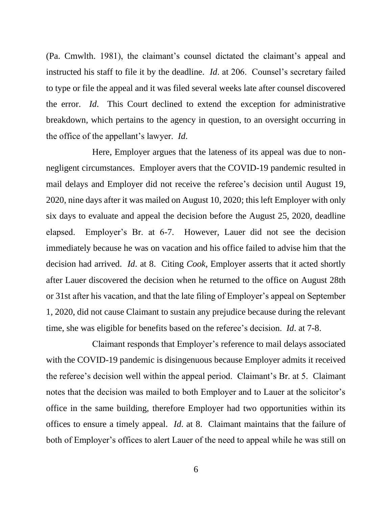(Pa. Cmwlth. 1981), the claimant's counsel dictated the claimant's appeal and instructed his staff to file it by the deadline. *Id*. at 206. Counsel's secretary failed to type or file the appeal and it was filed several weeks late after counsel discovered the error. *Id*. This Court declined to extend the exception for administrative breakdown, which pertains to the agency in question, to an oversight occurring in the office of the appellant's lawyer. *Id*.

Here, Employer argues that the lateness of its appeal was due to nonnegligent circumstances. Employer avers that the COVID-19 pandemic resulted in mail delays and Employer did not receive the referee's decision until August 19, 2020, nine days after it was mailed on August 10, 2020; this left Employer with only six days to evaluate and appeal the decision before the August 25, 2020, deadline elapsed. Employer's Br. at 6-7. However, Lauer did not see the decision immediately because he was on vacation and his office failed to advise him that the decision had arrived. *Id*. at 8. Citing *Cook*, Employer asserts that it acted shortly after Lauer discovered the decision when he returned to the office on August 28th or 31st after his vacation, and that the late filing of Employer's appeal on September 1, 2020, did not cause Claimant to sustain any prejudice because during the relevant time, she was eligible for benefits based on the referee's decision. *Id*. at 7-8.

Claimant responds that Employer's reference to mail delays associated with the COVID-19 pandemic is disingenuous because Employer admits it received the referee's decision well within the appeal period. Claimant's Br. at 5. Claimant notes that the decision was mailed to both Employer and to Lauer at the solicitor's office in the same building, therefore Employer had two opportunities within its offices to ensure a timely appeal. *Id*. at 8. Claimant maintains that the failure of both of Employer's offices to alert Lauer of the need to appeal while he was still on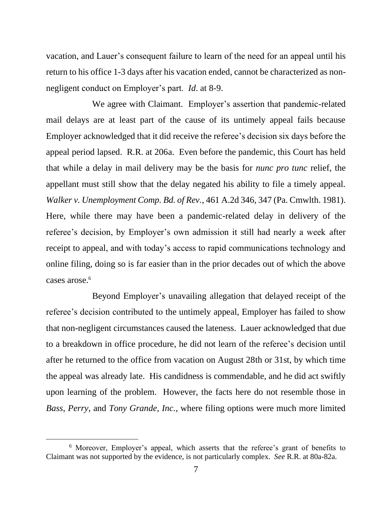vacation, and Lauer's consequent failure to learn of the need for an appeal until his return to his office 1-3 days after his vacation ended, cannot be characterized as nonnegligent conduct on Employer's part. *Id*. at 8-9.

We agree with Claimant. Employer's assertion that pandemic-related mail delays are at least part of the cause of its untimely appeal fails because Employer acknowledged that it did receive the referee's decision six days before the appeal period lapsed. R.R. at 206a. Even before the pandemic, this Court has held that while a delay in mail delivery may be the basis for *nunc pro tunc* relief, the appellant must still show that the delay negated his ability to file a timely appeal. *Walker v. Unemployment Comp. Bd. of Rev.*, 461 A.2d 346, 347 (Pa. Cmwlth. 1981). Here, while there may have been a pandemic-related delay in delivery of the referee's decision, by Employer's own admission it still had nearly a week after receipt to appeal, and with today's access to rapid communications technology and online filing, doing so is far easier than in the prior decades out of which the above cases arose.<sup>6</sup>

Beyond Employer's unavailing allegation that delayed receipt of the referee's decision contributed to the untimely appeal, Employer has failed to show that non-negligent circumstances caused the lateness. Lauer acknowledged that due to a breakdown in office procedure, he did not learn of the referee's decision until after he returned to the office from vacation on August 28th or 31st, by which time the appeal was already late. His candidness is commendable, and he did act swiftly upon learning of the problem. However, the facts here do not resemble those in *Bass*, *Perry*, and *Tony Grande, Inc.*, where filing options were much more limited

<sup>6</sup> Moreover, Employer's appeal, which asserts that the referee's grant of benefits to Claimant was not supported by the evidence, is not particularly complex. *See* R.R. at 80a-82a.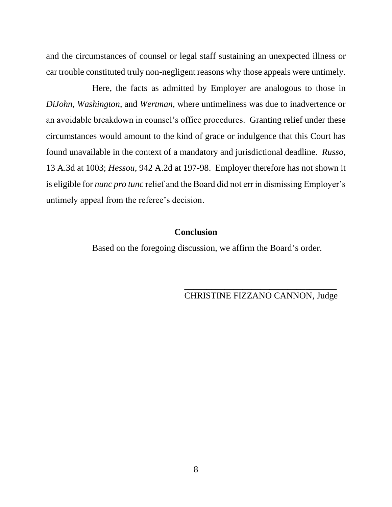and the circumstances of counsel or legal staff sustaining an unexpected illness or car trouble constituted truly non-negligent reasons why those appeals were untimely.

Here, the facts as admitted by Employer are analogous to those in *DiJohn*, *Washington*, and *Wertman*, where untimeliness was due to inadvertence or an avoidable breakdown in counsel's office procedures. Granting relief under these circumstances would amount to the kind of grace or indulgence that this Court has found unavailable in the context of a mandatory and jurisdictional deadline. *Russo*, 13 A.3d at 1003; *Hessou*, 942 A.2d at 197-98. Employer therefore has not shown it is eligible for *nunc pro tunc* relief and the Board did not err in dismissing Employer's untimely appeal from the referee's decision.

### **Conclusion**

Based on the foregoing discussion, we affirm the Board's order.

\_\_\_\_\_\_\_\_\_\_\_\_\_\_\_\_\_\_\_\_\_\_\_\_\_\_\_\_\_\_\_\_\_\_ CHRISTINE FIZZANO CANNON, Judge